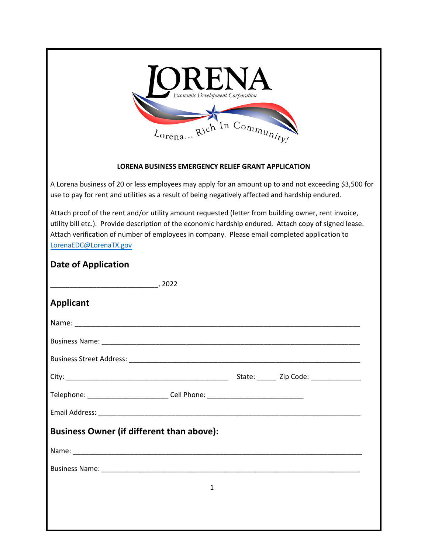

## **LORENA BUSINESS EMERGENCY RELIEF GRANT APPLICATION**

A Lorena business of 20 or less employees may apply for an amount up to and not exceeding \$3,500 for use to pay for rent and utilities as a result of being negatively affected and hardship endured.

Attach proof of the rent and/or utility amount requested (letter from building owner, rent invoice, utility bill etc.). Provide description of the economic hardship endured. Attach copy of signed lease. Attach verification of number of employees in company. Please email completed application to LorenaEDC@LorenaTX.gov

| <b>Date of Application</b>                                                       |   |  |  |
|----------------------------------------------------------------------------------|---|--|--|
|                                                                                  |   |  |  |
| <b>Applicant</b>                                                                 |   |  |  |
|                                                                                  |   |  |  |
|                                                                                  |   |  |  |
|                                                                                  |   |  |  |
|                                                                                  |   |  |  |
| Telephone: ______________________________Cell Phone: ___________________________ |   |  |  |
|                                                                                  |   |  |  |
| <b>Business Owner (if different than above):</b>                                 |   |  |  |
|                                                                                  |   |  |  |
|                                                                                  |   |  |  |
|                                                                                  | 1 |  |  |
|                                                                                  |   |  |  |
|                                                                                  |   |  |  |